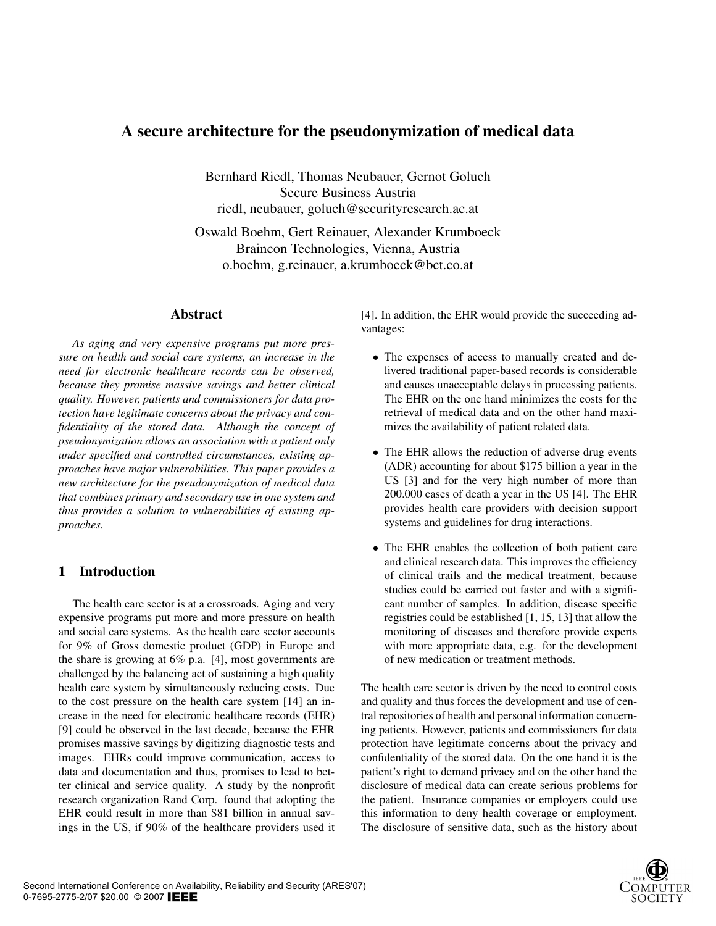# A secure architecture for the pseudonymization of medical data

Bernhard Riedl, Thomas Neubauer, Gernot Goluch Secure Business Austria riedl, neubauer, goluch@securityresearch.ac.at

Oswald Boehm, Gert Reinauer, Alexander Krumboeck Braincon Technologies, Vienna, Austria o.boehm, g.reinauer, a.krumboeck@bct.co.at

## Abstract

*As aging and very expensive programs put more pressure on health and social care systems, an increase in the need for electronic healthcare records can be observed, because they promise massive savings and better clinical quality. However, patients and commissioners for data protection have legitimate concerns about the privacy and confidentiality of the stored data. Although the concept of pseudonymization allows an association with a patient only under specified and controlled circumstances, existing approaches have major vulnerabilities. This paper provides a new architecture for the pseudonymization of medical data that combines primary and secondary use in one system and thus provides a solution to vulnerabilities of existing approaches.*

# 1 Introduction

The health care sector is at a crossroads. Aging and very expensive programs put more and more pressure on health and social care systems. As the health care sector accounts for 9% of Gross domestic product (GDP) in Europe and the share is growing at 6% p.a. [4], most governments are challenged by the balancing act of sustaining a high quality health care system by simultaneously reducing costs. Due to the cost pressure on the health care system [14] an increase in the need for electronic healthcare records (EHR) [9] could be observed in the last decade, because the EHR promises massive savings by digitizing diagnostic tests and images. EHRs could improve communication, access to data and documentation and thus, promises to lead to better clinical and service quality. A study by the nonprofit research organization Rand Corp. found that adopting the EHR could result in more than \$81 billion in annual savings in the US, if 90% of the healthcare providers used it [4]. In addition, the EHR would provide the succeeding advantages:

- The expenses of access to manually created and delivered traditional paper-based records is considerable and causes unacceptable delays in processing patients. The EHR on the one hand minimizes the costs for the retrieval of medical data and on the other hand maximizes the availability of patient related data.
- The EHR allows the reduction of adverse drug events (ADR) accounting for about \$175 billion a year in the US [3] and for the very high number of more than 200.000 cases of death a year in the US [4]. The EHR provides health care providers with decision support systems and guidelines for drug interactions.
- The EHR enables the collection of both patient care and clinical research data. This improves the efficiency of clinical trails and the medical treatment, because studies could be carried out faster and with a significant number of samples. In addition, disease specific registries could be established [1, 15, 13] that allow the monitoring of diseases and therefore provide experts with more appropriate data, e.g. for the development of new medication or treatment methods.

The health care sector is driven by the need to control costs and quality and thus forces the development and use of central repositories of health and personal information concerning patients. However, patients and commissioners for data protection have legitimate concerns about the privacy and confidentiality of the stored data. On the one hand it is the patient's right to demand privacy and on the other hand the disclosure of medical data can create serious problems for the patient. Insurance companies or employers could use this information to deny health coverage or employment. The disclosure of sensitive data, such as the history about

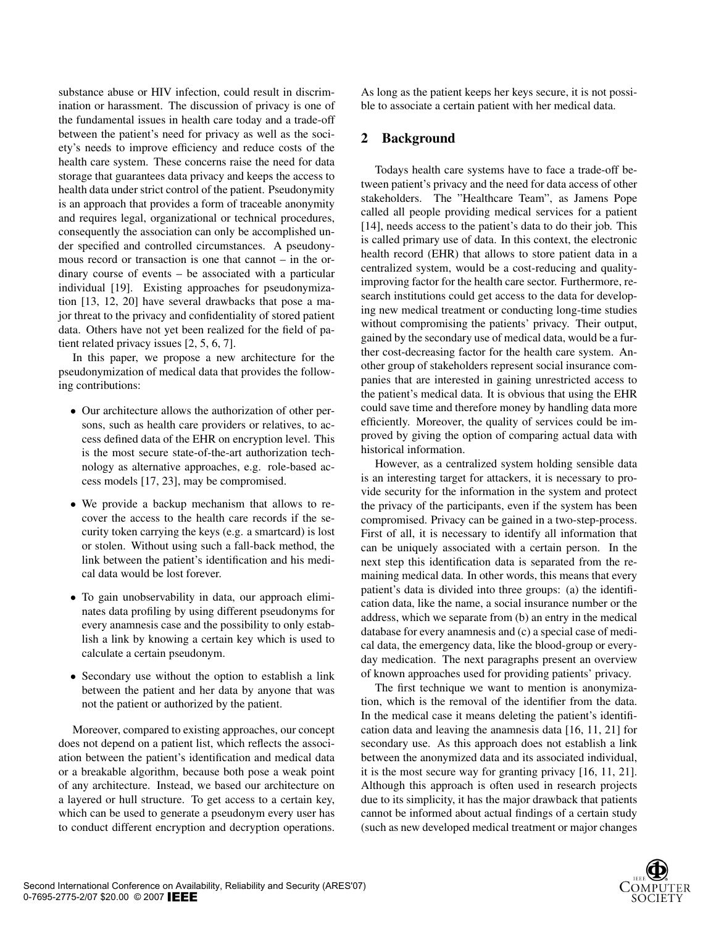substance abuse or HIV infection, could result in discrimination or harassment. The discussion of privacy is one of the fundamental issues in health care today and a trade-off between the patient's need for privacy as well as the society's needs to improve efficiency and reduce costs of the health care system. These concerns raise the need for data storage that guarantees data privacy and keeps the access to health data under strict control of the patient. Pseudonymity is an approach that provides a form of traceable anonymity and requires legal, organizational or technical procedures, consequently the association can only be accomplished under specified and controlled circumstances. A pseudonymous record or transaction is one that cannot – in the ordinary course of events – be associated with a particular individual [19]. Existing approaches for pseudonymization [13, 12, 20] have several drawbacks that pose a major threat to the privacy and confidentiality of stored patient data. Others have not yet been realized for the field of patient related privacy issues [2, 5, 6, 7].

In this paper, we propose a new architecture for the pseudonymization of medical data that provides the following contributions:

- Our architecture allows the authorization of other persons, such as health care providers or relatives, to access defined data of the EHR on encryption level. This is the most secure state-of-the-art authorization technology as alternative approaches, e.g. role-based access models [17, 23], may be compromised.
- We provide a backup mechanism that allows to recover the access to the health care records if the security token carrying the keys (e.g. a smartcard) is lost or stolen. Without using such a fall-back method, the link between the patient's identification and his medical data would be lost forever.
- To gain unobservability in data, our approach eliminates data profiling by using different pseudonyms for every anamnesis case and the possibility to only establish a link by knowing a certain key which is used to calculate a certain pseudonym.
- Secondary use without the option to establish a link between the patient and her data by anyone that was not the patient or authorized by the patient.

Moreover, compared to existing approaches, our concept does not depend on a patient list, which reflects the association between the patient's identification and medical data or a breakable algorithm, because both pose a weak point of any architecture. Instead, we based our architecture on a layered or hull structure. To get access to a certain key, which can be used to generate a pseudonym every user has to conduct different encryption and decryption operations.

As long as the patient keeps her keys secure, it is not possible to associate a certain patient with her medical data.

#### 2 Background

Todays health care systems have to face a trade-off between patient's privacy and the need for data access of other stakeholders. The "Healthcare Team", as Jamens Pope called all people providing medical services for a patient [14], needs access to the patient's data to do their job. This is called primary use of data. In this context, the electronic health record (EHR) that allows to store patient data in a centralized system, would be a cost-reducing and qualityimproving factor for the health care sector. Furthermore, research institutions could get access to the data for developing new medical treatment or conducting long-time studies without compromising the patients' privacy. Their output, gained by the secondary use of medical data, would be a further cost-decreasing factor for the health care system. Another group of stakeholders represent social insurance companies that are interested in gaining unrestricted access to the patient's medical data. It is obvious that using the EHR could save time and therefore money by handling data more efficiently. Moreover, the quality of services could be improved by giving the option of comparing actual data with historical information.

However, as a centralized system holding sensible data is an interesting target for attackers, it is necessary to provide security for the information in the system and protect the privacy of the participants, even if the system has been compromised. Privacy can be gained in a two-step-process. First of all, it is necessary to identify all information that can be uniquely associated with a certain person. In the next step this identification data is separated from the remaining medical data. In other words, this means that every patient's data is divided into three groups: (a) the identification data, like the name, a social insurance number or the address, which we separate from (b) an entry in the medical database for every anamnesis and (c) a special case of medical data, the emergency data, like the blood-group or everyday medication. The next paragraphs present an overview of known approaches used for providing patients' privacy.

The first technique we want to mention is anonymization, which is the removal of the identifier from the data. In the medical case it means deleting the patient's identification data and leaving the anamnesis data [16, 11, 21] for secondary use. As this approach does not establish a link between the anonymized data and its associated individual, it is the most secure way for granting privacy [16, 11, 21]. Although this approach is often used in research projects due to its simplicity, it has the major drawback that patients cannot be informed about actual findings of a certain study (such as new developed medical treatment or major changes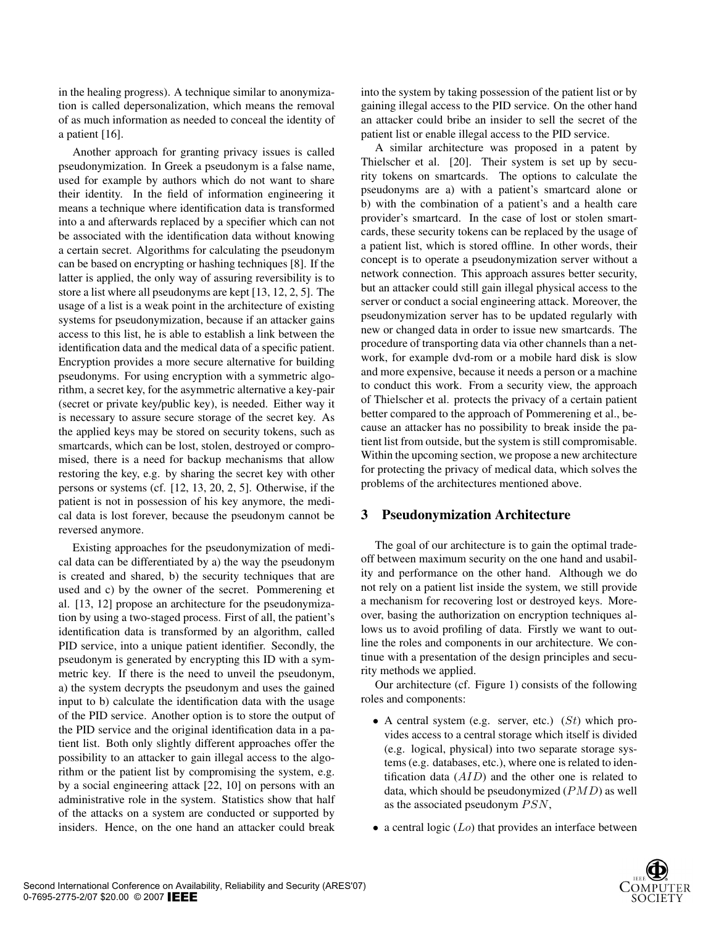in the healing progress). A technique similar to anonymization is called depersonalization, which means the removal of as much information as needed to conceal the identity of a patient [16].

Another approach for granting privacy issues is called pseudonymization. In Greek a pseudonym is a false name, used for example by authors which do not want to share their identity. In the field of information engineering it means a technique where identification data is transformed into a and afterwards replaced by a specifier which can not be associated with the identification data without knowing a certain secret. Algorithms for calculating the pseudonym can be based on encrypting or hashing techniques [8]. If the latter is applied, the only way of assuring reversibility is to store a list where all pseudonyms are kept [13, 12, 2, 5]. The usage of a list is a weak point in the architecture of existing systems for pseudonymization, because if an attacker gains access to this list, he is able to establish a link between the identification data and the medical data of a specific patient. Encryption provides a more secure alternative for building pseudonyms. For using encryption with a symmetric algorithm, a secret key, for the asymmetric alternative a key-pair (secret or private key/public key), is needed. Either way it is necessary to assure secure storage of the secret key. As the applied keys may be stored on security tokens, such as smartcards, which can be lost, stolen, destroyed or compromised, there is a need for backup mechanisms that allow restoring the key, e.g. by sharing the secret key with other persons or systems (cf. [12, 13, 20, 2, 5]. Otherwise, if the patient is not in possession of his key anymore, the medical data is lost forever, because the pseudonym cannot be reversed anymore.

Existing approaches for the pseudonymization of medical data can be differentiated by a) the way the pseudonym is created and shared, b) the security techniques that are used and c) by the owner of the secret. Pommerening et al. [13, 12] propose an architecture for the pseudonymization by using a two-staged process. First of all, the patient's identification data is transformed by an algorithm, called PID service, into a unique patient identifier. Secondly, the pseudonym is generated by encrypting this ID with a symmetric key. If there is the need to unveil the pseudonym, a) the system decrypts the pseudonym and uses the gained input to b) calculate the identification data with the usage of the PID service. Another option is to store the output of the PID service and the original identification data in a patient list. Both only slightly different approaches offer the possibility to an attacker to gain illegal access to the algorithm or the patient list by compromising the system, e.g. by a social engineering attack [22, 10] on persons with an administrative role in the system. Statistics show that half of the attacks on a system are conducted or supported by insiders. Hence, on the one hand an attacker could break

into the system by taking possession of the patient list or by gaining illegal access to the PID service. On the other hand an attacker could bribe an insider to sell the secret of the patient list or enable illegal access to the PID service.

A similar architecture was proposed in a patent by Thielscher et al. [20]. Their system is set up by security tokens on smartcards. The options to calculate the pseudonyms are a) with a patient's smartcard alone or b) with the combination of a patient's and a health care provider's smartcard. In the case of lost or stolen smartcards, these security tokens can be replaced by the usage of a patient list, which is stored offline. In other words, their concept is to operate a pseudonymization server without a network connection. This approach assures better security, but an attacker could still gain illegal physical access to the server or conduct a social engineering attack. Moreover, the pseudonymization server has to be updated regularly with new or changed data in order to issue new smartcards. The procedure of transporting data via other channels than a network, for example dvd-rom or a mobile hard disk is slow and more expensive, because it needs a person or a machine to conduct this work. From a security view, the approach of Thielscher et al. protects the privacy of a certain patient better compared to the approach of Pommerening et al., because an attacker has no possibility to break inside the patient list from outside, but the system is still compromisable. Within the upcoming section, we propose a new architecture for protecting the privacy of medical data, which solves the problems of the architectures mentioned above.

#### 3 Pseudonymization Architecture

The goal of our architecture is to gain the optimal tradeoff between maximum security on the one hand and usability and performance on the other hand. Although we do not rely on a patient list inside the system, we still provide a mechanism for recovering lost or destroyed keys. Moreover, basing the authorization on encryption techniques allows us to avoid profiling of data. Firstly we want to outline the roles and components in our architecture. We continue with a presentation of the design principles and security methods we applied.

Our architecture (cf. Figure 1) consists of the following roles and components:

- A central system (e.g. server, etc.) ( $St$ ) which provides access to a central storage which itself is divided (e.g. logical, physical) into two separate storage systems (e.g. databases, etc.), where one is related to identification data  $(AID)$  and the other one is related to data, which should be pseudonymized  $(PMD)$  as well as the associated pseudonym  $PSN$ ,
- a central logic  $(Lo)$  that provides an interface between

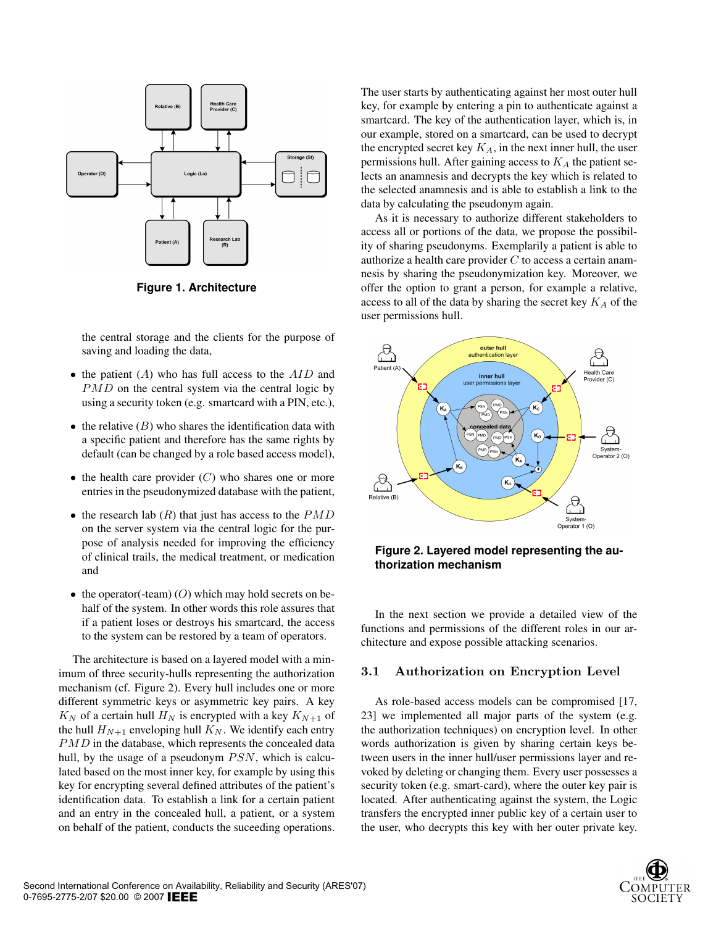

**Figure 1. Architecture**

the central storage and the clients for the purpose of saving and loading the data,

- the patient  $(A)$  who has full access to the  $AID$  and PMD on the central system via the central logic by using a security token (e.g. smartcard with a PIN, etc.),
- the relative  $(B)$  who shares the identification data with a specific patient and therefore has the same rights by default (can be changed by a role based access model),
- the health care provider  $(C)$  who shares one or more entries in the pseudonymized database with the patient,
- the research lab  $(R)$  that just has access to the  $PMD$ on the server system via the central logic for the purpose of analysis needed for improving the efficiency of clinical trails, the medical treatment, or medication and
- the operator(-team)  $(O)$  which may hold secrets on behalf of the system. In other words this role assures that if a patient loses or destroys his smartcard, the access to the system can be restored by a team of operators.

The architecture is based on a layered model with a minimum of three security-hulls representing the authorization mechanism (cf. Figure 2). Every hull includes one or more different symmetric keys or asymmetric key pairs. A key  $K_N$  of a certain hull  $H_N$  is encrypted with a key  $K_{N+1}$  of the hull  $H_{N+1}$  enveloping hull  $K_N$ . We identify each entry PMD in the database, which represents the concealed data hull, by the usage of a pseudonym  $PSN$ , which is calculated based on the most inner key, for example by using this key for encrypting several defined attributes of the patient's identification data. To establish a link for a certain patient and an entry in the concealed hull, a patient, or a system on behalf of the patient, conducts the suceeding operations.

The user starts by authenticating against her most outer hull key, for example by entering a pin to authenticate against a smartcard. The key of the authentication layer, which is, in our example, stored on a smartcard, can be used to decrypt the encrypted secret key  $K_A$ , in the next inner hull, the user permissions hull. After gaining access to  $K_A$  the patient selects an anamnesis and decrypts the key which is related to the selected anamnesis and is able to establish a link to the data by calculating the pseudonym again.

As it is necessary to authorize different stakeholders to access all or portions of the data, we propose the possibility of sharing pseudonyms. Exemplarily a patient is able to authorize a health care provider  $C$  to access a certain anamnesis by sharing the pseudonymization key. Moreover, we offer the option to grant a person, for example a relative, access to all of the data by sharing the secret key  $K_A$  of the user permissions hull.





In the next section we provide a detailed view of the functions and permissions of the different roles in our architecture and expose possible attacking scenarios.

#### 3.1 Authorization on Encryption Level

As role-based access models can be compromised [17, 23] we implemented all major parts of the system (e.g. the authorization techniques) on encryption level. In other words authorization is given by sharing certain keys between users in the inner hull/user permissions layer and revoked by deleting or changing them. Every user possesses a security token (e.g. smart-card), where the outer key pair is located. After authenticating against the system, the Logic transfers the encrypted inner public key of a certain user to the user, who decrypts this key with her outer private key.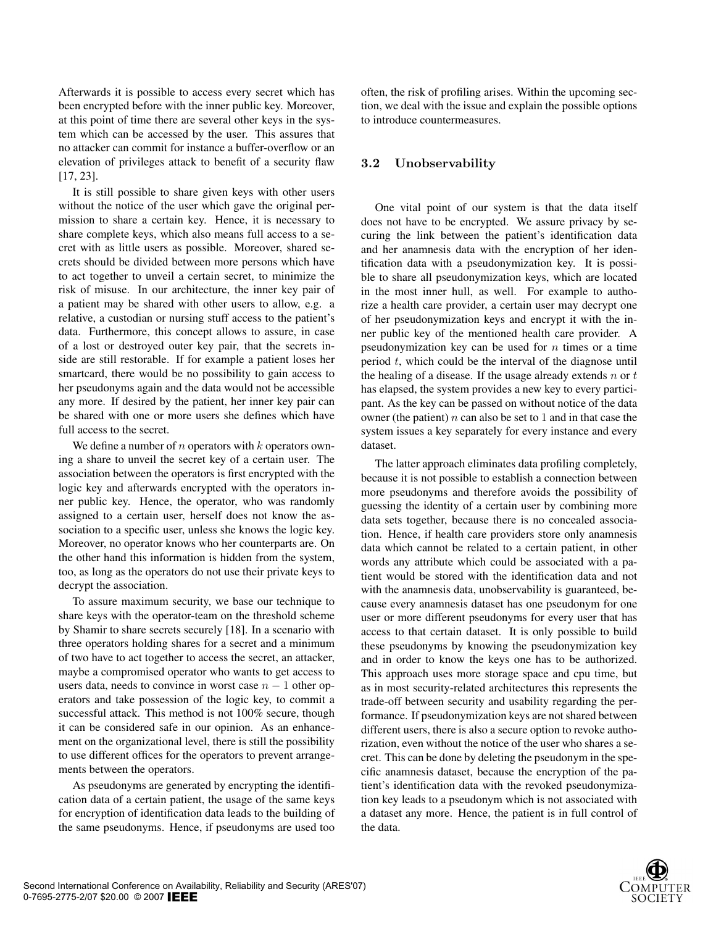Afterwards it is possible to access every secret which has been encrypted before with the inner public key. Moreover, at this point of time there are several other keys in the system which can be accessed by the user. This assures that no attacker can commit for instance a buffer-overflow or an elevation of privileges attack to benefit of a security flaw [17, 23].

It is still possible to share given keys with other users without the notice of the user which gave the original permission to share a certain key. Hence, it is necessary to share complete keys, which also means full access to a secret with as little users as possible. Moreover, shared secrets should be divided between more persons which have to act together to unveil a certain secret, to minimize the risk of misuse. In our architecture, the inner key pair of a patient may be shared with other users to allow, e.g. a relative, a custodian or nursing stuff access to the patient's data. Furthermore, this concept allows to assure, in case of a lost or destroyed outer key pair, that the secrets inside are still restorable. If for example a patient loses her smartcard, there would be no possibility to gain access to her pseudonyms again and the data would not be accessible any more. If desired by the patient, her inner key pair can be shared with one or more users she defines which have full access to the secret.

We define a number of n operators with  $k$  operators owning a share to unveil the secret key of a certain user. The association between the operators is first encrypted with the logic key and afterwards encrypted with the operators inner public key. Hence, the operator, who was randomly assigned to a certain user, herself does not know the association to a specific user, unless she knows the logic key. Moreover, no operator knows who her counterparts are. On the other hand this information is hidden from the system, too, as long as the operators do not use their private keys to decrypt the association.

To assure maximum security, we base our technique to share keys with the operator-team on the threshold scheme by Shamir to share secrets securely [18]. In a scenario with three operators holding shares for a secret and a minimum of two have to act together to access the secret, an attacker, maybe a compromised operator who wants to get access to users data, needs to convince in worst case  $n - 1$  other operators and take possession of the logic key, to commit a successful attack. This method is not 100% secure, though it can be considered safe in our opinion. As an enhancement on the organizational level, there is still the possibility to use different offices for the operators to prevent arrangements between the operators.

As pseudonyms are generated by encrypting the identification data of a certain patient, the usage of the same keys for encryption of identification data leads to the building of the same pseudonyms. Hence, if pseudonyms are used too

often, the risk of profiling arises. Within the upcoming section, we deal with the issue and explain the possible options to introduce countermeasures.

#### 3.2 Unobservability

One vital point of our system is that the data itself does not have to be encrypted. We assure privacy by securing the link between the patient's identification data and her anamnesis data with the encryption of her identification data with a pseudonymization key. It is possible to share all pseudonymization keys, which are located in the most inner hull, as well. For example to authorize a health care provider, a certain user may decrypt one of her pseudonymization keys and encrypt it with the inner public key of the mentioned health care provider. A pseudonymization key can be used for  $n$  times or a time period  $t$ , which could be the interval of the diagnose until the healing of a disease. If the usage already extends  $n \text{ or } t$ has elapsed, the system provides a new key to every participant. As the key can be passed on without notice of the data owner (the patient)  $n$  can also be set to 1 and in that case the system issues a key separately for every instance and every dataset.

The latter approach eliminates data profiling completely, because it is not possible to establish a connection between more pseudonyms and therefore avoids the possibility of guessing the identity of a certain user by combining more data sets together, because there is no concealed association. Hence, if health care providers store only anamnesis data which cannot be related to a certain patient, in other words any attribute which could be associated with a patient would be stored with the identification data and not with the anamnesis data, unobservability is guaranteed, because every anamnesis dataset has one pseudonym for one user or more different pseudonyms for every user that has access to that certain dataset. It is only possible to build these pseudonyms by knowing the pseudonymization key and in order to know the keys one has to be authorized. This approach uses more storage space and cpu time, but as in most security-related architectures this represents the trade-off between security and usability regarding the performance. If pseudonymization keys are not shared between different users, there is also a secure option to revoke authorization, even without the notice of the user who shares a secret. This can be done by deleting the pseudonym in the specific anamnesis dataset, because the encryption of the patient's identification data with the revoked pseudonymization key leads to a pseudonym which is not associated with a dataset any more. Hence, the patient is in full control of the data.

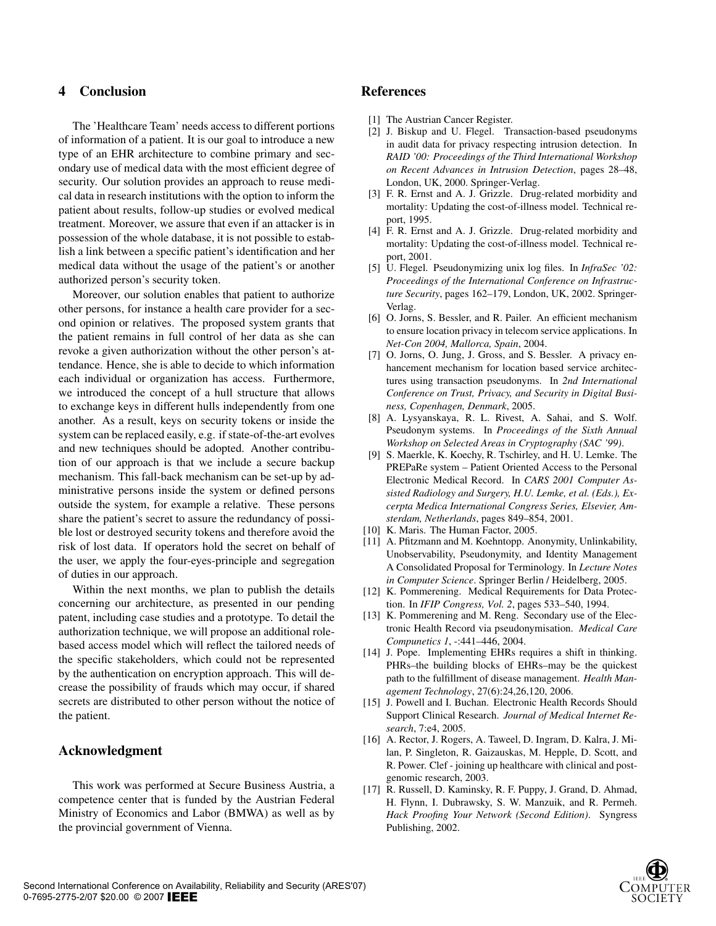## 4 Conclusion

The 'Healthcare Team' needs access to different portions of information of a patient. It is our goal to introduce a new type of an EHR architecture to combine primary and secondary use of medical data with the most efficient degree of security. Our solution provides an approach to reuse medical data in research institutions with the option to inform the patient about results, follow-up studies or evolved medical treatment. Moreover, we assure that even if an attacker is in possession of the whole database, it is not possible to establish a link between a specific patient's identification and her medical data without the usage of the patient's or another authorized person's security token.

Moreover, our solution enables that patient to authorize other persons, for instance a health care provider for a second opinion or relatives. The proposed system grants that the patient remains in full control of her data as she can revoke a given authorization without the other person's attendance. Hence, she is able to decide to which information each individual or organization has access. Furthermore, we introduced the concept of a hull structure that allows to exchange keys in different hulls independently from one another. As a result, keys on security tokens or inside the system can be replaced easily, e.g. if state-of-the-art evolves and new techniques should be adopted. Another contribution of our approach is that we include a secure backup mechanism. This fall-back mechanism can be set-up by administrative persons inside the system or defined persons outside the system, for example a relative. These persons share the patient's secret to assure the redundancy of possible lost or destroyed security tokens and therefore avoid the risk of lost data. If operators hold the secret on behalf of the user, we apply the four-eyes-principle and segregation of duties in our approach.

Within the next months, we plan to publish the details concerning our architecture, as presented in our pending patent, including case studies and a prototype. To detail the authorization technique, we will propose an additional rolebased access model which will reflect the tailored needs of the specific stakeholders, which could not be represented by the authentication on encryption approach. This will decrease the possibility of frauds which may occur, if shared secrets are distributed to other person without the notice of the patient.

#### Acknowledgment

This work was performed at Secure Business Austria, a competence center that is funded by the Austrian Federal Ministry of Economics and Labor (BMWA) as well as by the provincial government of Vienna.

#### References

- [1] The Austrian Cancer Register.
- [2] J. Biskup and U. Flegel. Transaction-based pseudonyms in audit data for privacy respecting intrusion detection. In *RAID '00: Proceedings of the Third International Workshop on Recent Advances in Intrusion Detection*, pages 28–48, London, UK, 2000. Springer-Verlag.
- [3] F. R. Ernst and A. J. Grizzle. Drug-related morbidity and mortality: Updating the cost-of-illness model. Technical report, 1995.
- [4] F. R. Ernst and A. J. Grizzle. Drug-related morbidity and mortality: Updating the cost-of-illness model. Technical report, 2001.
- [5] U. Flegel. Pseudonymizing unix log files. In *InfraSec '02: Proceedings of the International Conference on Infrastructure Security*, pages 162–179, London, UK, 2002. Springer-Verlag.
- [6] O. Jorns, S. Bessler, and R. Pailer. An efficient mechanism to ensure location privacy in telecom service applications. In *Net-Con 2004, Mallorca, Spain*, 2004.
- [7] O. Jorns, O. Jung, J. Gross, and S. Bessler. A privacy enhancement mechanism for location based service architectures using transaction pseudonyms. In *2nd International Conference on Trust, Privacy, and Security in Digital Business, Copenhagen, Denmark*, 2005.
- [8] A. Lysyanskaya, R. L. Rivest, A. Sahai, and S. Wolf. Pseudonym systems. In *Proceedings of the Sixth Annual Workshop on Selected Areas in Cryptography (SAC '99)*.
- [9] S. Maerkle, K. Koechy, R. Tschirley, and H. U. Lemke. The PREPaRe system – Patient Oriented Access to the Personal Electronic Medical Record. In *CARS 2001 Computer Assisted Radiology and Surgery, H.U. Lemke, et al. (Eds.), Excerpta Medica International Congress Series, Elsevier, Amsterdam, Netherlands*, pages 849–854, 2001.
- [10] K. Maris. The Human Factor, 2005.
- [11] A. Pfitzmann and M. Koehntopp. Anonymity, Unlinkability, Unobservability, Pseudonymity, and Identity Management A Consolidated Proposal for Terminology. In *Lecture Notes in Computer Science*. Springer Berlin / Heidelberg, 2005.
- [12] K. Pommerening. Medical Requirements for Data Protection. In *IFIP Congress, Vol. 2*, pages 533–540, 1994.
- [13] K. Pommerening and M. Reng. Secondary use of the Electronic Health Record via pseudonymisation. *Medical Care Compunetics 1*, -:441–446, 2004.
- [14] J. Pope. Implementing EHRs requires a shift in thinking. PHRs–the building blocks of EHRs–may be the quickest path to the fulfillment of disease management. *Health Management Technology*, 27(6):24,26,120, 2006.
- [15] J. Powell and I. Buchan. Electronic Health Records Should Support Clinical Research. *Journal of Medical Internet Research*, 7:e4, 2005.
- [16] A. Rector, J. Rogers, A. Taweel, D. Ingram, D. Kalra, J. Milan, P. Singleton, R. Gaizauskas, M. Hepple, D. Scott, and R. Power. Clef - joining up healthcare with clinical and postgenomic research, 2003.
- [17] R. Russell, D. Kaminsky, R. F. Puppy, J. Grand, D. Ahmad, H. Flynn, I. Dubrawsky, S. W. Manzuik, and R. Permeh. *Hack Proofing Your Network (Second Edition)*. Syngress Publishing, 2002.